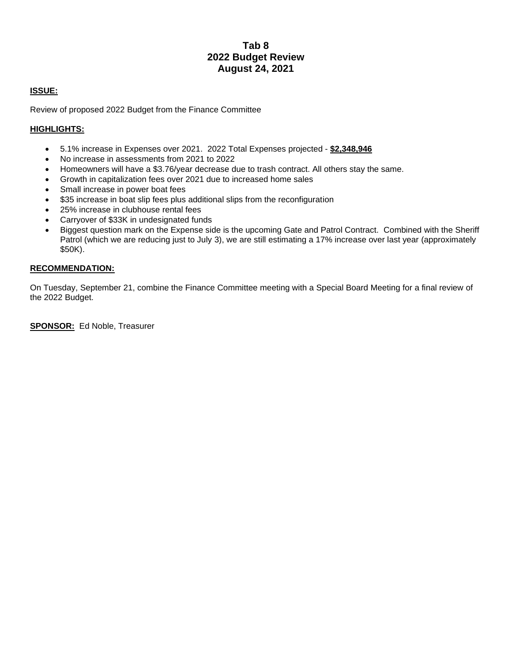## **Tab 8 2022 Budget Review August 24, 2021**

## **ISSUE:**

Review of proposed 2022 Budget from the Finance Committee

## **HIGHLIGHTS:**

- 5.1% increase in Expenses over 2021. 2022 Total Expenses projected **\$2,348,946**
- No increase in assessments from 2021 to 2022
- Homeowners will have a \$3.76/year decrease due to trash contract. All others stay the same.
- Growth in capitalization fees over 2021 due to increased home sales
- Small increase in power boat fees
- \$35 increase in boat slip fees plus additional slips from the reconfiguration
- 25% increase in clubhouse rental fees
- Carryover of \$33K in undesignated funds
- Biggest question mark on the Expense side is the upcoming Gate and Patrol Contract. Combined with the Sheriff Patrol (which we are reducing just to July 3), we are still estimating a 17% increase over last year (approximately \$50K).

## **RECOMMENDATION:**

On Tuesday, September 21, combine the Finance Committee meeting with a Special Board Meeting for a final review of the 2022 Budget.

**SPONSOR:** Ed Noble, Treasurer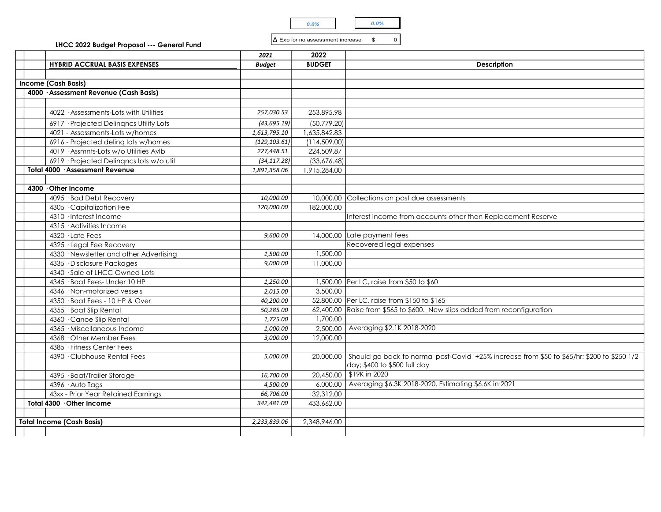| no. |  |  |
|-----|--|--|
|-----|--|--|

|                                                                            |                              | 0.0%                                    | $0.0\%$                                                                                              |
|----------------------------------------------------------------------------|------------------------------|-----------------------------------------|------------------------------------------------------------------------------------------------------|
| LHCC 2022 Budget Proposal --- General Fund                                 |                              | $\Delta$ Exp for no assessment increase | $\mathfrak s$<br>$\mathsf{o}\,$                                                                      |
|                                                                            | 2021                         | 2022                                    |                                                                                                      |
| <b>HYBRID ACCRUAL BASIS EXPENSES</b>                                       | <b>Budget</b>                | <b>BUDGET</b>                           | <b>Description</b>                                                                                   |
|                                                                            |                              |                                         |                                                                                                      |
| Income (Cash Basis)<br>4000 · Assessment Revenue (Cash Basis)              |                              |                                         |                                                                                                      |
|                                                                            |                              |                                         |                                                                                                      |
| 4022 · Assessments-Lots with Utilities                                     | 257,030.53                   | 253,895.98                              |                                                                                                      |
|                                                                            |                              |                                         |                                                                                                      |
| 6917 · Projected Delinqncs Utility Lots<br>4021 - Assessments-Lots w/homes | (43, 695.19)<br>1,613,795.10 | (50,779.20)<br>1,635,842.83             |                                                                                                      |
| 6916 - Projected deling lots w/homes                                       | (129, 103.61)                | (114, 509.00)                           |                                                                                                      |
| 4019 · Assmnts-Lots w/o Utilities AvIb                                     | 227,448.51                   | 224,509.87                              |                                                                                                      |
| 6919 · Projected Delingncs lots w/o util                                   | (34, 117.28)                 | (33,676.48)                             |                                                                                                      |
| Total 4000 · Assessment Revenue                                            | 1,891,358.06                 | 1,915,284.00                            |                                                                                                      |
|                                                                            |                              |                                         |                                                                                                      |
| 4300 Other Income                                                          |                              |                                         |                                                                                                      |
| 4095 · Bad Debt Recovery                                                   | 10,000.00                    |                                         | 10,000.00 Collections on past due assessments                                                        |
| 4305 · Capitalization Fee                                                  | 120,000.00                   | 182,000.00                              |                                                                                                      |
| 4310 · Interest Income                                                     |                              |                                         | Interest income from accounts other than Replacement Reserve                                         |
| 4315 · Activities Income<br>4320 · Late Fees                               | 9,600.00                     |                                         | 14,000.00 Late payment fees                                                                          |
| 4325 · Legal Fee Recovery                                                  |                              |                                         | Recovered legal expenses                                                                             |
| 4330 · Newsletter and other Advertising                                    | 1,500.00                     | 1,500.00                                |                                                                                                      |
| 4335 · Disclosure Packages                                                 | 9,000.00                     | 11,000.00                               |                                                                                                      |
| 4340 · Sale of LHCC Owned Lots                                             |                              |                                         |                                                                                                      |
| 4345 · Boat Fees- Under 10 HP                                              | 1,250.00                     |                                         | 1,500.00 Per LC, raise from \$50 to \$60                                                             |
| 4346 · Non-motorized vessels                                               | 2,015.00                     | 3,500.00                                |                                                                                                      |
| 4350 · Boat Fees - 10 HP & Over                                            | 40,200.00                    |                                         | 52,800.00 Per LC, raise from \$150 to \$165                                                          |
| 4355 · Boat Slip Rental                                                    | 50,285.00                    |                                         | 62,400.00 Raise from \$565 to \$600. New slips added from reconfiguration                            |
| 4360 · Canoe Slip Rental                                                   | 1,725.00                     | 1,700.00                                | 2,500.00 Averaging \$2.1K 2018-2020                                                                  |
| 4365 · Miscellaneous Income<br>4368 · Other Member Fees                    | 1,000.00<br>3,000.00         | 12,000.00                               |                                                                                                      |
| 4385 · Fitness Center Fees                                                 |                              |                                         |                                                                                                      |
| 4390 · Clubhouse Rental Fees                                               | 5,000.00                     |                                         | 20,000.00 Should go back to normal post-Covid +25% increase from \$50 to \$65/hr; \$200 to \$250 1/2 |
|                                                                            |                              |                                         | day; \$400 to \$500 full day                                                                         |
| 4395 · Boat/Trailer Storage                                                | 16,700.00                    |                                         | 20,450.00 \$19K in 2020                                                                              |
| 4396 · Auto Tags                                                           | 4,500.00                     | 6,000.00                                | Averaging \$6.3K 2018-2020. Estimating \$6.6K in 2021                                                |
| 43xx - Prior Year Retained Earnings                                        | 66,706.00                    | 32,312.00                               |                                                                                                      |
| Total 4300 · Other Income                                                  | 342,481.00                   | 433,662.00                              |                                                                                                      |
|                                                                            |                              |                                         |                                                                                                      |
| <b>Total Income (Cash Basis)</b>                                           | 2,233,839.06                 | 2,348,946.00                            |                                                                                                      |
|                                                                            |                              |                                         |                                                                                                      |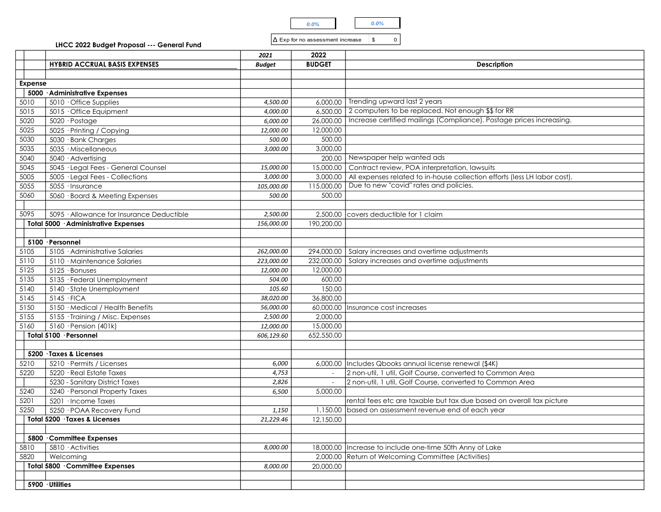

|  |  | 14 LAD 101 110 83363 |
|--|--|----------------------|
|  |  |                      |

|                |                                                                     |                          | 0.0%                                     | $0.0\%$                                                                                                      |  |
|----------------|---------------------------------------------------------------------|--------------------------|------------------------------------------|--------------------------------------------------------------------------------------------------------------|--|
|                |                                                                     |                          |                                          |                                                                                                              |  |
|                | LHCC 2022 Budget Proposal --- General Fund                          |                          | $ \Delta$ Exp for no assessment increase | \$<br>$\mathsf{O}$                                                                                           |  |
|                |                                                                     | 2021                     | 2022                                     |                                                                                                              |  |
|                | <b>HYBRID ACCRUAL BASIS EXPENSES</b>                                | Budget                   | <b>BUDGET</b>                            | <b>Description</b>                                                                                           |  |
|                |                                                                     |                          |                                          |                                                                                                              |  |
| <b>Expense</b> | 5000 Administrative Expenses                                        |                          |                                          |                                                                                                              |  |
| 5010           | $5010 \cdot$ Office Supplies                                        | 4,500.00                 | 6,000.00                                 | Trending upward last 2 years                                                                                 |  |
| 5015           | $5015 \cdot$ Office Equipment                                       | 4,000.00                 | 6,500.00                                 | 2 computers to be replaced. Not enough \$\$ for RR                                                           |  |
| 5020           | 5020 · Postage                                                      | 6,000.00                 | 26,000.00                                | Increase certified mailings (Compliance). Postage prices increasing.                                         |  |
| 5025           | 5025 · Printing / Copying                                           | 12,000.00                | 12,000.00                                |                                                                                                              |  |
| 5030<br>5035   | $\overline{5030}$ · Bank Charges<br>5035 · Miscellaneous            | 500.00<br>3,000.00       | 500.00<br>3,000.00                       |                                                                                                              |  |
| 5040           | $5040 \cdot$ Advertising                                            |                          | 200.00                                   | Newspaper help wanted ads                                                                                    |  |
| 5045           | 5045 · Legal Fees - General Counsel                                 | 15,000.00                | 15,000.00                                | Contract review, POA interpretation, lawsuits                                                                |  |
| 5005           | 5005 · Legal Fees - Collections                                     | 3,000.00                 | 3,000.00                                 | All expenses related to in-house collection efforts (less LH labor cost).                                    |  |
| 5055           | 5055 · Insurance                                                    | 105,000.00               |                                          | 115,000.00 Due to new "covid" rates and policies.                                                            |  |
| 5060           | 5060 · Board & Meeting Expenses                                     | 500.00                   | 500.00                                   |                                                                                                              |  |
| 5095           | 5095 · Allowance for Insurance Deductible                           | 2,500.00                 |                                          | 2,500.00 covers deductible for 1 claim                                                                       |  |
|                | Total 5000 · Administrative Expenses                                | 156,000.00               | 190,200.00                               |                                                                                                              |  |
|                |                                                                     |                          |                                          |                                                                                                              |  |
|                | 5100 · Personnel                                                    |                          |                                          |                                                                                                              |  |
| 5105<br>5110   | 5105 · Administrative Salaries<br>$5110 \cdot$ Maintenance Salaries | 262,000.00<br>223,000.00 |                                          | 294,000.00 Salary increases and overtime adjustments<br>232,000.00 Salary increases and overtime adjustments |  |
| 5125           | $5125 \cdot$ Bonuses                                                | 12,000.00                | 12,000.00                                |                                                                                                              |  |
| 5135           | 5135 · Federal Unemployment                                         | 504.00                   | 600.00                                   |                                                                                                              |  |
| 5140           | 5140 · State Unemployment                                           | 105.60                   | 150.00                                   |                                                                                                              |  |
| 5145           | $5145 \cdot FICA$<br>5150 · Medical / Health Benefits               | 38,020.00<br>56,000.00   | 36,800.00                                | 60,000.00   Insurance cost increases                                                                         |  |
| 5150<br>5155   | 5155 · Training / Misc. Expenses                                    | 2,500.00                 | 2,000.00                                 |                                                                                                              |  |
| 5160           | $5160$ · Pension (401k)                                             | 12,000.00                | 15,000.00                                |                                                                                                              |  |
|                | Total 5100 · Personnel                                              | 606,129.60               | 652,550.00                               |                                                                                                              |  |
|                |                                                                     |                          |                                          |                                                                                                              |  |
| 5210           | 5200 · Taxes & Licenses<br>5210 · Permits / Licenses                | 6,000                    |                                          | 6,000.00   Includes Qbooks annual license renewal (\$4K)                                                     |  |
| 5220           | 5220 · Real Estate Taxes                                            | 4,753                    |                                          | 2 non-util, 1 util, Golf Course, converted to Common Area                                                    |  |
|                | 5230 - Sanitary District Taxes                                      | 2,826                    | $\sim$                                   | 2 non-util, 1 util, Golf Course, converted to Common Area                                                    |  |
| 5240           | 5240 · Personal Property Taxes                                      | 6,500                    | 5,000.00                                 |                                                                                                              |  |
| 5201           | 5201 · Income Taxes                                                 |                          |                                          | rental fees etc are taxable but tax due based on overall tax picture                                         |  |
| 5250           | 5250 · POAA Recovery Fund<br>Total 5200 · Taxes & Licenses          | 1,150<br>21,229.46       | 12,150.00                                | 1,150.00 based on assessment revenue end of each year                                                        |  |
|                |                                                                     |                          |                                          |                                                                                                              |  |
|                | 5800 Committee Expenses                                             |                          |                                          |                                                                                                              |  |
| 5810           | $5810 \cdot$ Activities                                             | 8,000.00                 |                                          | 18,000.00   Increase to include one-time 50th Anny of Lake                                                   |  |
| 5820           | Welcoming                                                           |                          |                                          | 2,000.00 Return of Welcoming Committee (Activities)                                                          |  |
|                | Total 5800 Committee Expenses                                       | 8,000.00                 | 20,000.00                                |                                                                                                              |  |
|                | 5900 · Utilities                                                    |                          |                                          |                                                                                                              |  |
|                |                                                                     |                          |                                          |                                                                                                              |  |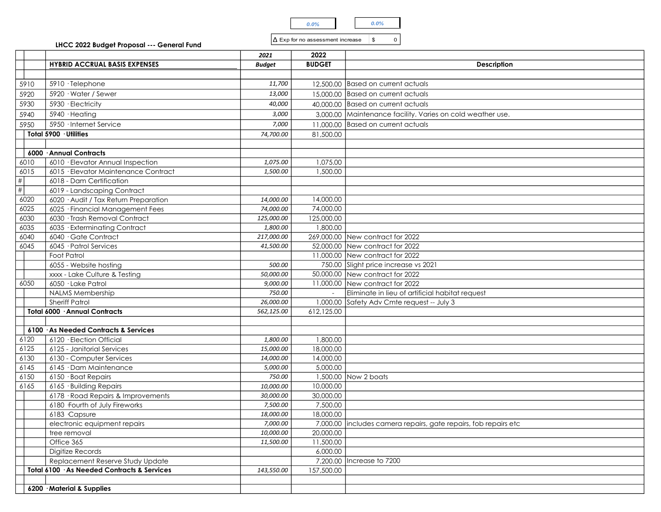| U.U% |  |
|------|--|
|------|--|

| LHCC 2022 Budget Proposal --- General Fund |  |  |  |  |  |
|--------------------------------------------|--|--|--|--|--|
|--------------------------------------------|--|--|--|--|--|

|                 |                                                                           |                        | $0.0\%$                                 | $0.0\%$                                                                 |
|-----------------|---------------------------------------------------------------------------|------------------------|-----------------------------------------|-------------------------------------------------------------------------|
|                 |                                                                           |                        | $\Delta$ Exp for no assessment increase | $\mathfrak{S}$<br>$\mathsf{o}$                                          |
|                 | LHCC 2022 Budget Proposal --- General Fund                                |                        |                                         |                                                                         |
|                 | <b>HYBRID ACCRUAL BASIS EXPENSES</b>                                      | 2021<br>Budget         | 2022<br><b>BUDGET</b>                   | <b>Description</b>                                                      |
|                 |                                                                           |                        |                                         |                                                                         |
| 5910            | 5910 · Telephone                                                          | 11,700                 |                                         | 12,500.00 Based on current actuals                                      |
| 5920            | 5920 · Water / Sewer                                                      | 13,000                 |                                         | 15,000.00 Based on current actuals                                      |
| 5930            | 5930 · Electricity                                                        | 40,000                 |                                         | 40,000.00 Based on current actuals                                      |
| 5940            | $5940 \cdot$ Heating                                                      | 3,000                  |                                         | 3,000.00 Maintenance facility. Varies on cold weather use.              |
| 5950            | 5950 · Internet Service                                                   | 7,000                  |                                         | 11,000.00 Based on current actuals                                      |
|                 | Total 5900 · Utilities                                                    | 74,700.00              | 81,500.00                               |                                                                         |
|                 | 6000 Annual Contracts                                                     |                        |                                         |                                                                         |
| 6010            | 6010 · Elevator Annual Inspection                                         | 1,075.00               | 1,075.00                                |                                                                         |
| 6015            | 6015 · Elevator Maintenance Contract                                      | 1,500.00               | 1,500.00                                |                                                                         |
| $\frac{\#}{\#}$ | 6018 - Dam Certification                                                  |                        |                                         |                                                                         |
|                 | 6019 - Landscaping Contract                                               |                        |                                         |                                                                         |
| 6020<br>6025    | 6020 · Audit / Tax Return Preparation<br>6025 · Financial Management Fees | 14,000.00<br>74,000.00 | 14,000.00<br>74,000.00                  |                                                                         |
| 6030            | 6030 · Trash Removal Contract                                             | 125,000.00             | 125,000.00                              |                                                                         |
| 6035            | 6035 · Exterminating Contract                                             | 1,800.00               | 1,800.00                                |                                                                         |
| 6040            | 6040 · Gate Contract                                                      | 217,000.00             |                                         | 269,000.00 New contract for 2022                                        |
| 6045            | 6045 · Patrol Services                                                    | 41,500.00              |                                         | 52,000.00 New contract for 2022                                         |
|                 | Foot Patrol<br>6055 - Website hosting                                     | 500.00                 |                                         | 11,000.00 New contract for 2022<br>750.00 Slight price increase vs 2021 |
|                 | xxxx - Lake Culture & Testing                                             | 50,000.00              |                                         | 50,000.00 New contract for 2022                                         |
| 6050            | 6050 · Lake Patrol                                                        | 9,000.00               |                                         | 11,000.00 New contract for 2022                                         |
|                 | NALMS Membership                                                          | 750.00                 |                                         | Eliminate in lieu of artificial habitat request                         |
|                 | <b>Sheriff Patrol</b>                                                     | 26,000.00              |                                         | 1,000.00 Safety Adv Cmte request -- July 3                              |
|                 | Total 6000 · Annual Contracts                                             | 562,125.00             | 612,125.00                              |                                                                         |
|                 | 6100 · As Needed Contracts & Services                                     |                        |                                         |                                                                         |
| 6120            | 6120 · Election Official                                                  | 1,800.00               | 1,800.00                                |                                                                         |
| 6125            | 6125 - Janitorial Services                                                | 15,000.00              | 18,000.00                               |                                                                         |
| 6130            | 6130 - Computer Services                                                  | 14,000.00              | 14,000.00                               |                                                                         |
| 6145<br>6150    | 6145 · Dam Maintenance<br>6150 · Boat Repairs                             | 5,000.00<br>750.00     | 5,000.00                                | 1,500.00 Now 2 boats                                                    |
| 6165            | 6165 · Building Repairs                                                   | 10,000.00              | 10,000.00                               |                                                                         |
|                 | 6178 · Road Repairs & Improvements                                        | 30,000.00              | 30,000.00                               |                                                                         |
|                 | 6180 · Fourth of July Fireworks                                           | 7,500.00               | 7,500.00                                |                                                                         |
|                 | 6183 Capsure                                                              | 18,000.00              | 18,000.00                               |                                                                         |
|                 | electronic equipment repairs<br>tree removal                              | 7,000.00<br>10,000.00  | 20,000.00                               | 7,000.00   includes camera repairs, gate repairs, fob repairs etc       |
|                 | Office 365                                                                | 11,500.00              | 11,500.00                               |                                                                         |
|                 | Digitize Records                                                          |                        | 6,000.00                                |                                                                         |
|                 | Replacement Reserve Study Update                                          |                        |                                         | 7,200.00   Increase to 7200                                             |
|                 | Total 6100 · As Needed Contracts & Services                               | 143,550.00             | 157,500.00                              |                                                                         |
|                 | 6200 · Material & Supplies                                                |                        |                                         |                                                                         |
|                 |                                                                           |                        |                                         |                                                                         |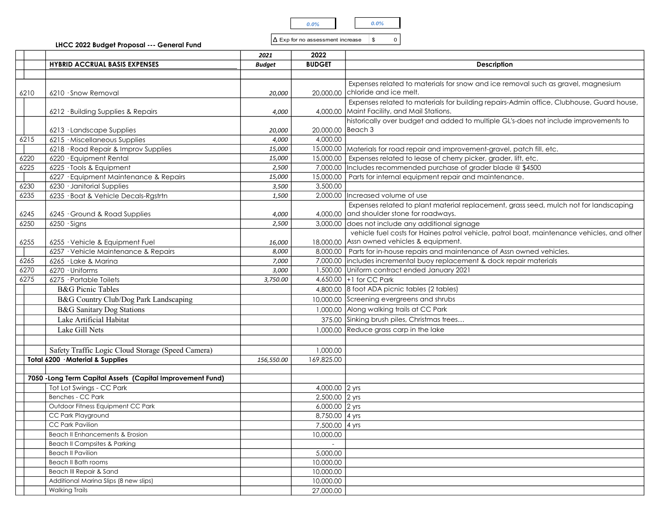

|      |                                                                                       |                        | 0.0%                                    | 0.0%                                                                                                                       |
|------|---------------------------------------------------------------------------------------|------------------------|-----------------------------------------|----------------------------------------------------------------------------------------------------------------------------|
|      |                                                                                       |                        | $\Delta$ Exp for no assessment increase | \$<br>$\Omega$                                                                                                             |
|      | LHCC 2022 Budget Proposal --- General Fund                                            |                        |                                         |                                                                                                                            |
|      |                                                                                       | 2021                   | 2022                                    |                                                                                                                            |
|      | <b>HYBRID ACCRUAL BASIS EXPENSES</b>                                                  | <b>Budget</b>          | <b>BUDGET</b>                           | <b>Description</b>                                                                                                         |
|      |                                                                                       |                        |                                         | Expenses related to materials for snow and ice removal such as gravel, magnesium                                           |
| 6210 | 6210 · Snow Removal                                                                   | 20,000                 |                                         | 20,000.00 chloride and ice melt.                                                                                           |
|      |                                                                                       |                        |                                         | Expenses related to materials for building repairs-Admin office, Clubhouse, Guard house,                                   |
|      | 6212 · Building Supplies & Repairs                                                    | <i>4,000</i>           |                                         | 4,000.00 Maint Facility, and Mail Stations.                                                                                |
|      |                                                                                       |                        |                                         | historically over budget and added to multiple GL's-does not include improvements to                                       |
|      | 6213 · Landscape Supplies                                                             | 20,000                 | 20,000.00 Beach 3                       |                                                                                                                            |
| 6215 | 6215 · Miscellaneous Supplies                                                         | 4,000                  | 4,000.00                                |                                                                                                                            |
|      | 6218 · Road Repair & Improv Supplies                                                  | 15,000                 |                                         | 15,000.00 Materials for road repair and improvement-gravel, patch fill, etc.                                               |
| 6220 | 6220 · Equipment Rental                                                               | 15,000                 | 7,000.00                                | 15,000.00   Expenses related to lease of cherry picker, grader, lift, etc.                                                 |
| 6225 | 6225 · Tools & Equipment<br>6227 · Equipment Maintenance & Repairs                    | 2,500<br>15,000        |                                         | Includes recommended purchase of grader blade @ \$4500<br>15,000.00   Parts for internal equipment repair and maintenance. |
| 6230 | 6230 · Janitorial Supplies                                                            | 3,500                  | 3,500.00                                |                                                                                                                            |
| 6235 | 6235 · Boat & Vehicle Decals-Rgstrtn                                                  | 1,500                  |                                         | 2,000.00 Increased volume of use                                                                                           |
|      |                                                                                       |                        |                                         | Expenses related to plant material replacement, grass seed, mulch not for landscaping                                      |
| 6245 | 6245 · Ground & Road Supplies                                                         | 4,000                  |                                         | 4,000.00 and shoulder stone for roadways.                                                                                  |
| 6250 | $6250 \cdot$ Signs                                                                    | 2,500                  |                                         | 3,000.00 does not include any additional signage                                                                           |
|      |                                                                                       |                        |                                         | vehicle fuel costs for Haines patrol vehicle, patrol boat, maintenance vehicles, and other                                 |
| 6255 | 6255 · Vehicle & Equipment Fuel<br>6257 · Vehicle Maintenance & Repairs               | <i>16,000</i><br>8,000 |                                         | 18,000.00 Assn owned vehicles & equipment.<br>8,000.00 Parts for in-house repairs and maintenance of Assn owned vehicles.  |
| 6265 | 6265 · Lake & Marina                                                                  | 7,000                  |                                         | 7,000.00 includes incremental buoy replacement & dock repair materials                                                     |
| 6270 | 6270 · Uniforms                                                                       | 3,000                  |                                         | 1,500.00 Uniform contract ended January 2021                                                                               |
| 6275 | 6275 · Portable Toilets                                                               | 3,750.00               |                                         | 4,650.00 +1 for CC Park                                                                                                    |
|      | <b>B&amp;G Picnic Tables</b>                                                          |                        |                                         | 4,800.00 8 foot ADA picnic tables (2 tables)                                                                               |
|      | B&G Country Club/Dog Park Landscaping                                                 |                        |                                         | 10,000.00 Screening evergreens and shrubs                                                                                  |
|      | <b>B&amp;G</b> Sanitary Dog Stations                                                  |                        |                                         | 1,000.00 Along walking trails at CC Park                                                                                   |
|      | Lake Artificial Habitat                                                               |                        |                                         | 375.00 Sinking brush piles, Christmas trees                                                                                |
|      | Lake Gill Nets                                                                        |                        |                                         | 1,000.00 Reduce grass carp in the lake                                                                                     |
|      |                                                                                       |                        |                                         |                                                                                                                            |
|      | Safety Traffic Logic Cloud Storage (Speed Camera)<br>Total 6200 · Material & Supplies | 156,550.00             | 1,000.00<br>169,825.00                  |                                                                                                                            |
|      |                                                                                       |                        |                                         |                                                                                                                            |
|      | 7050 - Long Term Capital Assets (Capital Improvement Fund)                            |                        |                                         |                                                                                                                            |
|      | Tot Lot Swings - CC Park                                                              |                        | 4,000.00 2 yrs                          |                                                                                                                            |
|      | Benches - CC Park                                                                     |                        | 2,500.00 2 yrs                          |                                                                                                                            |
|      | Outdoor Fitness Equipment CC Park                                                     |                        | 6,000.00 2 yrs                          |                                                                                                                            |
|      | CC Park Playground                                                                    |                        | 8,750.00 4 yrs                          |                                                                                                                            |
|      | CC Park Pavilion                                                                      |                        | 7,500.00 4 yrs                          |                                                                                                                            |
|      | Beach II Enhancements & Erosion<br><b>Beach II Campsites &amp; Parking</b>            |                        | 10,000.00                               |                                                                                                                            |
|      | <b>Beach II Pavilion</b>                                                              |                        | 5,000.00                                |                                                                                                                            |
|      | <b>Beach II Bath rooms</b>                                                            |                        | 10,000.00                               |                                                                                                                            |
|      | Beach III Repair & Sand                                                               |                        | 10,000.00                               |                                                                                                                            |
|      | Additional Marina Slips (8 new slips)<br><b>Walking Trails</b>                        |                        | 10,000.00                               |                                                                                                                            |
|      |                                                                                       |                        | 27,000.00                               |                                                                                                                            |